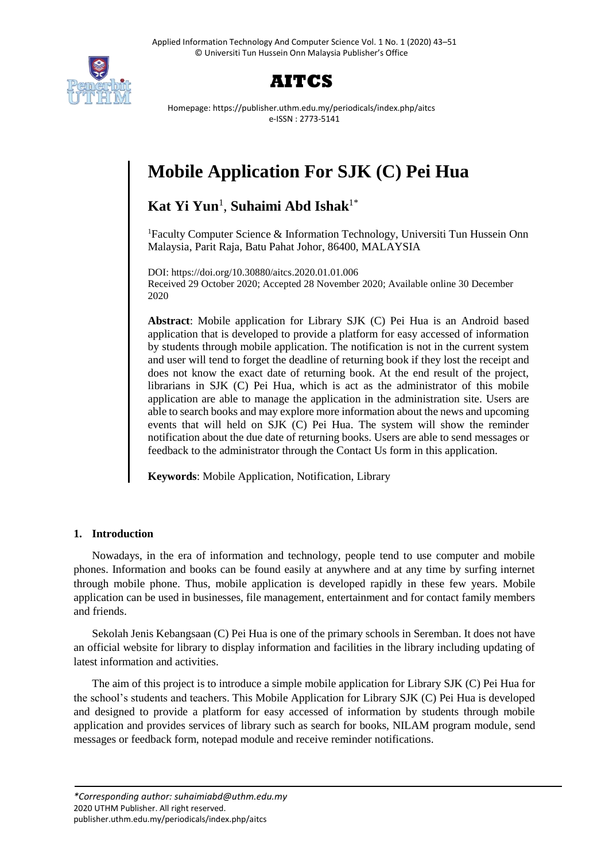



Homepage: https://publisher.uthm.edu.my/periodicals/index.php/aitcs e-ISSN : 2773-5141

# **Mobile Application For SJK (C) Pei Hua**

## **Kat Yi Yun**<sup>1</sup> , **Suhaimi Abd Ishak**1\*

<sup>1</sup>Faculty Computer Science & Information Technology, Universiti Tun Hussein Onn Malaysia, Parit Raja, Batu Pahat Johor, 86400, MALAYSIA

DOI: https://doi.org/10.30880/aitcs.2020.01.01.006 Received 29 October 2020; Accepted 28 November 2020; Available online 30 December 2020

**Abstract**: Mobile application for Library SJK (C) Pei Hua is an Android based application that is developed to provide a platform for easy accessed of information by students through mobile application. The notification is not in the current system and user will tend to forget the deadline of returning book if they lost the receipt and does not know the exact date of returning book. At the end result of the project, librarians in SJK (C) Pei Hua, which is act as the administrator of this mobile application are able to manage the application in the administration site. Users are able to search books and may explore more information about the news and upcoming events that will held on SJK (C) Pei Hua. The system will show the reminder notification about the due date of returning books. Users are able to send messages or feedback to the administrator through the Contact Us form in this application.

**Keywords**: Mobile Application, Notification, Library

## **1. Introduction**

Nowadays, in the era of information and technology, people tend to use computer and mobile phones. Information and books can be found easily at anywhere and at any time by surfing internet through mobile phone. Thus, mobile application is developed rapidly in these few years. Mobile application can be used in businesses, file management, entertainment and for contact family members and friends.

Sekolah Jenis Kebangsaan (C) Pei Hua is one of the primary schools in Seremban. It does not have an official website for library to display information and facilities in the library including updating of latest information and activities.

The aim of this project is to introduce a simple mobile application for Library SJK (C) Pei Hua for the school's students and teachers. This Mobile Application for Library SJK (C) Pei Hua is developed and designed to provide a platform for easy accessed of information by students through mobile application and provides services of library such as search for books, NILAM program module, send messages or feedback form, notepad module and receive reminder notifications.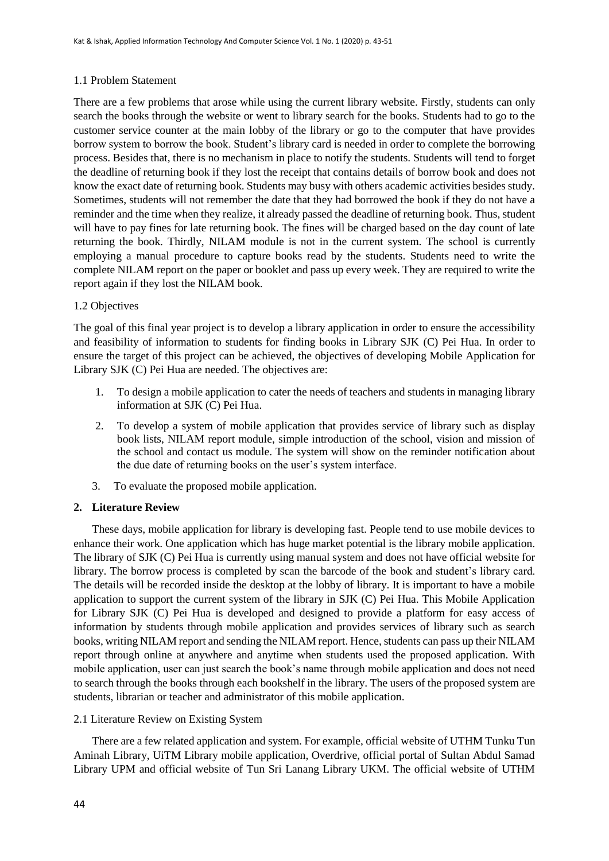## 1.1 Problem Statement

There are a few problems that arose while using the current library website. Firstly, students can only search the books through the website or went to library search for the books. Students had to go to the customer service counter at the main lobby of the library or go to the computer that have provides borrow system to borrow the book. Student's library card is needed in order to complete the borrowing process. Besides that, there is no mechanism in place to notify the students. Students will tend to forget the deadline of returning book if they lost the receipt that contains details of borrow book and does not know the exact date of returning book. Students may busy with others academic activities besides study. Sometimes, students will not remember the date that they had borrowed the book if they do not have a reminder and the time when they realize, it already passed the deadline of returning book. Thus, student will have to pay fines for late returning book. The fines will be charged based on the day count of late returning the book. Thirdly, NILAM module is not in the current system. The school is currently employing a manual procedure to capture books read by the students. Students need to write the complete NILAM report on the paper or booklet and pass up every week. They are required to write the report again if they lost the NILAM book.

## 1.2 Objectives

The goal of this final year project is to develop a library application in order to ensure the accessibility and feasibility of information to students for finding books in Library SJK (C) Pei Hua. In order to ensure the target of this project can be achieved, the objectives of developing Mobile Application for Library SJK (C) Pei Hua are needed. The objectives are:

- 1. To design a mobile application to cater the needs of teachers and students in managing library information at SJK (C) Pei Hua.
- 2. To develop a system of mobile application that provides service of library such as display book lists, NILAM report module, simple introduction of the school, vision and mission of the school and contact us module. The system will show on the reminder notification about the due date of returning books on the user's system interface.
- 3. To evaluate the proposed mobile application.

## **2. Literature Review**

These days, mobile application for library is developing fast. People tend to use mobile devices to enhance their work. One application which has huge market potential is the library mobile application. The library of SJK (C) Pei Hua is currently using manual system and does not have official website for library. The borrow process is completed by scan the barcode of the book and student's library card. The details will be recorded inside the desktop at the lobby of library. It is important to have a mobile application to support the current system of the library in SJK (C) Pei Hua. This Mobile Application for Library SJK (C) Pei Hua is developed and designed to provide a platform for easy access of information by students through mobile application and provides services of library such as search books, writing NILAM report and sending the NILAM report. Hence, students can pass up their NILAM report through online at anywhere and anytime when students used the proposed application. With mobile application, user can just search the book's name through mobile application and does not need to search through the books through each bookshelf in the library. The users of the proposed system are students, librarian or teacher and administrator of this mobile application.

## 2.1 Literature Review on Existing System

There are a few related application and system. For example, official website of UTHM Tunku Tun Aminah Library, UiTM Library mobile application, Overdrive, official portal of Sultan Abdul Samad Library UPM and official website of Tun Sri Lanang Library UKM. The official website of UTHM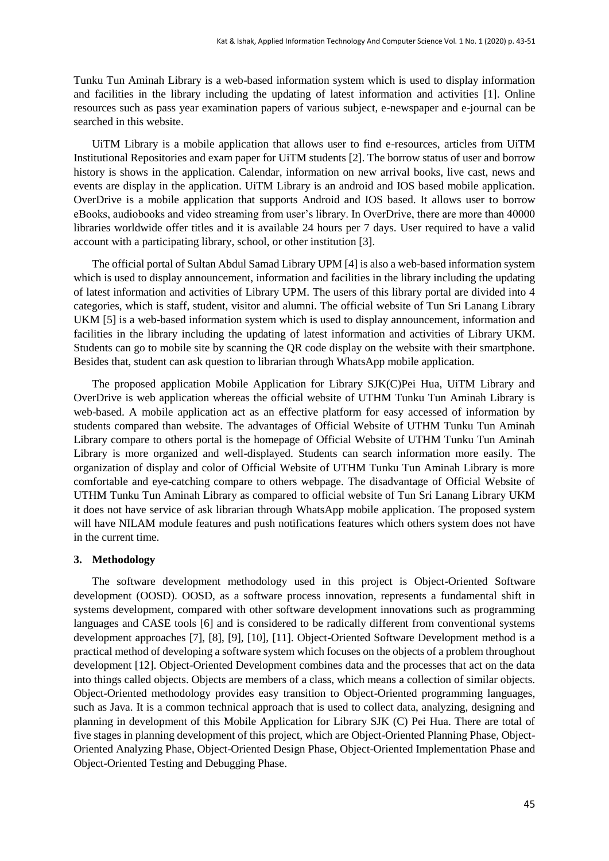Tunku Tun Aminah Library is a web-based information system which is used to display information and facilities in the library including the updating of latest information and activities [1]. Online resources such as pass year examination papers of various subject, e-newspaper and e-journal can be searched in this website.

UiTM Library is a mobile application that allows user to find e-resources, articles from UiTM Institutional Repositories and exam paper for UiTM students [2]. The borrow status of user and borrow history is shows in the application. Calendar, information on new arrival books, live cast, news and events are display in the application. UiTM Library is an android and IOS based mobile application. OverDrive is a mobile application that supports Android and IOS based. It allows user to borrow eBooks, audiobooks and video streaming from user's library. In OverDrive, there are more than 40000 libraries worldwide offer titles and it is available 24 hours per 7 days. User required to have a valid account with a participating library, school, or other institution [3].

The official portal of Sultan Abdul Samad Library UPM [4] is also a web-based information system which is used to display announcement, information and facilities in the library including the updating of latest information and activities of Library UPM. The users of this library portal are divided into 4 categories, which is staff, student, visitor and alumni. The official website of Tun Sri Lanang Library UKM [5] is a web-based information system which is used to display announcement, information and facilities in the library including the updating of latest information and activities of Library UKM. Students can go to mobile site by scanning the QR code display on the website with their smartphone. Besides that, student can ask question to librarian through WhatsApp mobile application.

The proposed application Mobile Application for Library SJK(C)Pei Hua, UiTM Library and OverDrive is web application whereas the official website of UTHM Tunku Tun Aminah Library is web-based. A mobile application act as an effective platform for easy accessed of information by students compared than website. The advantages of Official Website of UTHM Tunku Tun Aminah Library compare to others portal is the homepage of Official Website of UTHM Tunku Tun Aminah Library is more organized and well-displayed. Students can search information more easily. The organization of display and color of Official Website of UTHM Tunku Tun Aminah Library is more comfortable and eye-catching compare to others webpage. The disadvantage of Official Website of UTHM Tunku Tun Aminah Library as compared to official website of Tun Sri Lanang Library UKM it does not have service of ask librarian through WhatsApp mobile application. The proposed system will have NILAM module features and push notifications features which others system does not have in the current time.

#### **3. Methodology**

The software development methodology used in this project is Object-Oriented Software development (OOSD). OOSD, as a software process innovation, represents a fundamental shift in systems development, compared with other software development innovations such as programming languages and CASE tools [6] and is considered to be radically different from conventional systems development approaches [7], [8], [9], [10], [11]. Object-Oriented Software Development method is a practical method of developing a software system which focuses on the objects of a problem throughout development [12]. Object-Oriented Development combines data and the processes that act on the data into things called objects. Objects are members of a class, which means a collection of similar objects. Object-Oriented methodology provides easy transition to Object-Oriented programming languages, such as Java. It is a common technical approach that is used to collect data, analyzing, designing and planning in development of this Mobile Application for Library SJK (C) Pei Hua. There are total of five stages in planning development of this project, which are Object-Oriented Planning Phase, Object-Oriented Analyzing Phase, Object-Oriented Design Phase, Object-Oriented Implementation Phase and Object-Oriented Testing and Debugging Phase.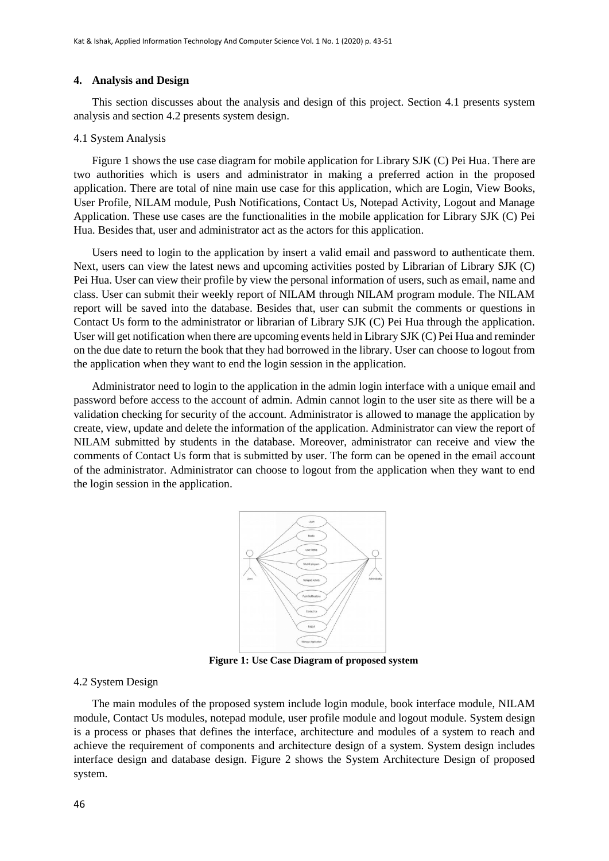#### **4. Analysis and Design**

This section discusses about the analysis and design of this project. Section 4.1 presents system analysis and section 4.2 presents system design.

#### 4.1 System Analysis

Figure 1 shows the use case diagram for mobile application for Library SJK (C) Pei Hua. There are two authorities which is users and administrator in making a preferred action in the proposed application. There are total of nine main use case for this application, which are Login, View Books, User Profile, NILAM module, Push Notifications, Contact Us, Notepad Activity, Logout and Manage Application. These use cases are the functionalities in the mobile application for Library SJK (C) Pei Hua. Besides that, user and administrator act as the actors for this application.

Users need to login to the application by insert a valid email and password to authenticate them. Next, users can view the latest news and upcoming activities posted by Librarian of Library SJK (C) Pei Hua. User can view their profile by view the personal information of users, such as email, name and class. User can submit their weekly report of NILAM through NILAM program module. The NILAM report will be saved into the database. Besides that, user can submit the comments or questions in Contact Us form to the administrator or librarian of Library SJK (C) Pei Hua through the application. User will get notification when there are upcoming events held in Library SJK (C) Pei Hua and reminder on the due date to return the book that they had borrowed in the library. User can choose to logout from the application when they want to end the login session in the application.

Administrator need to login to the application in the admin login interface with a unique email and password before access to the account of admin. Admin cannot login to the user site as there will be a validation checking for security of the account. Administrator is allowed to manage the application by create, view, update and delete the information of the application. Administrator can view the report of NILAM submitted by students in the database. Moreover, administrator can receive and view the comments of Contact Us form that is submitted by user. The form can be opened in the email account of the administrator. Administrator can choose to logout from the application when they want to end the login session in the application.



**Figure 1: Use Case Diagram of proposed system**

#### 4.2 System Design

The main modules of the proposed system include login module, book interface module, NILAM module, Contact Us modules, notepad module, user profile module and logout module. System design is a process or phases that defines the interface, architecture and modules of a system to reach and achieve the requirement of components and architecture design of a system. System design includes interface design and database design. Figure 2 shows the System Architecture Design of proposed system.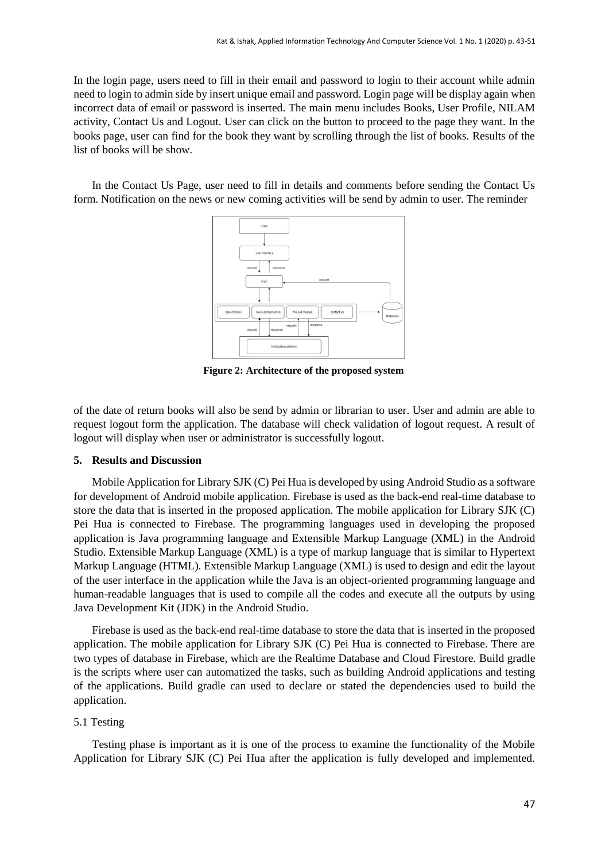In the login page, users need to fill in their email and password to login to their account while admin need to login to admin side by insert unique email and password. Login page will be display again when incorrect data of email or password is inserted. The main menu includes Books, User Profile, NILAM activity, Contact Us and Logout. User can click on the button to proceed to the page they want. In the books page, user can find for the book they want by scrolling through the list of books. Results of the list of books will be show.

In the Contact Us Page, user need to fill in details and comments before sending the Contact Us form. Notification on the news or new coming activities will be send by admin to user. The reminder



**Figure 2: Architecture of the proposed system**

of the date of return books will also be send by admin or librarian to user. User and admin are able to request logout form the application. The database will check validation of logout request. A result of logout will display when user or administrator is successfully logout.

#### **5. Results and Discussion**

Mobile Application for Library SJK (C) Pei Hua is developed by using Android Studio as a software for development of Android mobile application. Firebase is used as the back-end real-time database to store the data that is inserted in the proposed application. The mobile application for Library SJK (C) Pei Hua is connected to Firebase. The programming languages used in developing the proposed application is Java programming language and Extensible Markup Language (XML) in the Android Studio. Extensible Markup Language (XML) is a type of markup language that is similar to Hypertext Markup Language (HTML). Extensible Markup Language (XML) is used to design and edit the layout of the user interface in the application while the Java is an object-oriented programming language and human-readable languages that is used to compile all the codes and execute all the outputs by using Java Development Kit (JDK) in the Android Studio.

Firebase is used as the back-end real-time database to store the data that is inserted in the proposed application. The mobile application for Library SJK (C) Pei Hua is connected to Firebase. There are two types of database in Firebase, which are the Realtime Database and Cloud Firestore. Build gradle is the scripts where user can automatized the tasks, such as building Android applications and testing of the applications. Build gradle can used to declare or stated the dependencies used to build the application.

#### 5.1 Testing

Testing phase is important as it is one of the process to examine the functionality of the Mobile Application for Library SJK (C) Pei Hua after the application is fully developed and implemented.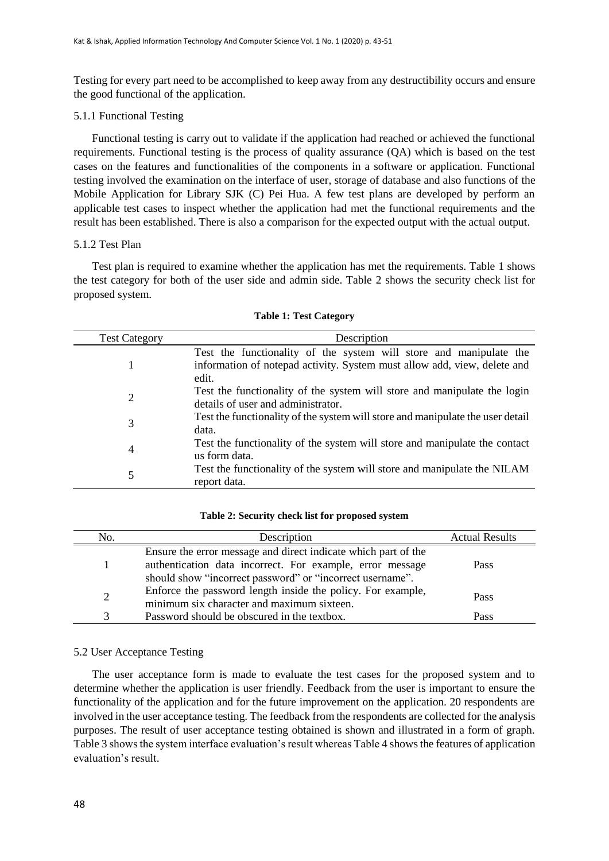Testing for every part need to be accomplished to keep away from any destructibility occurs and ensure the good functional of the application.

### 5.1.1 Functional Testing

Functional testing is carry out to validate if the application had reached or achieved the functional requirements. Functional testing is the process of quality assurance (QA) which is based on the test cases on the features and functionalities of the components in a software or application. Functional testing involved the examination on the interface of user, storage of database and also functions of the Mobile Application for Library SJK (C) Pei Hua. A few test plans are developed by perform an applicable test cases to inspect whether the application had met the functional requirements and the result has been established. There is also a comparison for the expected output with the actual output.

## 5.1.2 Test Plan

Test plan is required to examine whether the application has met the requirements. Table 1 shows the test category for both of the user side and admin side. Table 2 shows the security check list for proposed system.

| <b>Test Category</b> | Description                                                                                                                                             |  |  |  |  |
|----------------------|---------------------------------------------------------------------------------------------------------------------------------------------------------|--|--|--|--|
|                      | Test the functionality of the system will store and manipulate the<br>information of notepad activity. System must allow add, view, delete and<br>edit. |  |  |  |  |
| 2                    | Test the functionality of the system will store and manipulate the login<br>details of user and administrator.                                          |  |  |  |  |
| 3                    | Test the functionality of the system will store and manipulate the user detail<br>data.                                                                 |  |  |  |  |
| 4                    | Test the functionality of the system will store and manipulate the contact<br>us form data.                                                             |  |  |  |  |
| 5                    | Test the functionality of the system will store and manipulate the NILAM<br>report data.                                                                |  |  |  |  |

#### **Table 1: Test Category**

#### **Table 2: Security check list for proposed system**

| No.               | Description                                                                                                                                                                              | <b>Actual Results</b> |
|-------------------|------------------------------------------------------------------------------------------------------------------------------------------------------------------------------------------|-----------------------|
|                   | Ensure the error message and direct indicate which part of the<br>authentication data incorrect. For example, error message<br>should show "incorrect password" or "incorrect username". | Pass                  |
| 2                 | Enforce the password length inside the policy. For example,<br>minimum six character and maximum sixteen.                                                                                | Pass                  |
| $\mathbf{\Omega}$ | Password should be obscured in the textbox.                                                                                                                                              | Pass                  |

## 5.2 User Acceptance Testing

The user acceptance form is made to evaluate the test cases for the proposed system and to determine whether the application is user friendly. Feedback from the user is important to ensure the functionality of the application and for the future improvement on the application. 20 respondents are involved in the user acceptance testing. The feedback from the respondents are collected for the analysis purposes. The result of user acceptance testing obtained is shown and illustrated in a form of graph. Table 3 shows the system interface evaluation's result whereas Table 4 shows the features of application evaluation's result.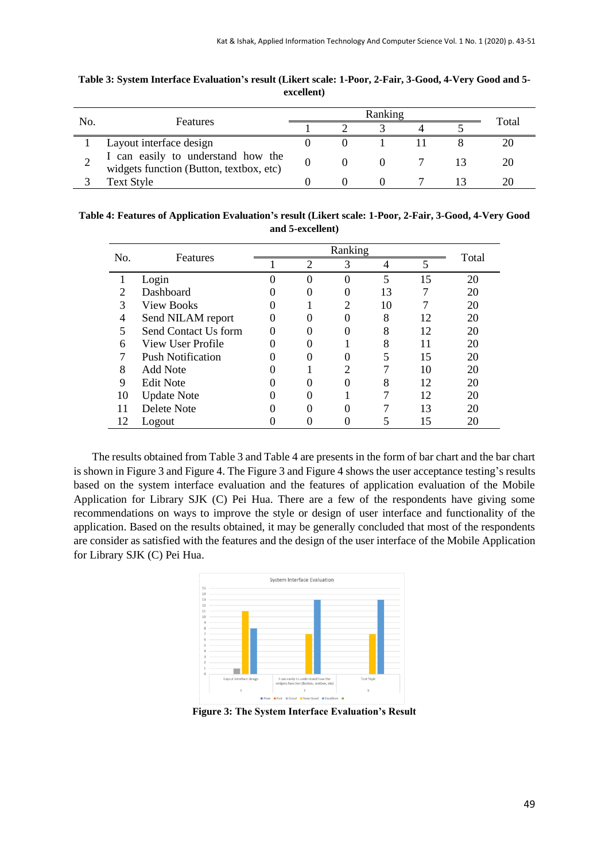|     | <b>Features</b>                                                               | Ranking |  |  |  |  |       |
|-----|-------------------------------------------------------------------------------|---------|--|--|--|--|-------|
| No. |                                                                               |         |  |  |  |  | Total |
|     | Layout interface design                                                       |         |  |  |  |  |       |
|     | I can easily to understand how the<br>widgets function (Button, textbox, etc) |         |  |  |  |  |       |
|     | Text Style                                                                    |         |  |  |  |  |       |

**Table 3: System Interface Evaluation's result (Likert scale: 1-Poor, 2-Fair, 3-Good, 4-Very Good and 5 excellent)**

**Table 4: Features of Application Evaluation's result (Likert scale: 1-Poor, 2-Fair, 3-Good, 4-Very Good and 5-excellent)**

| No. | Features                 | Ranking |                |                   |                |    |       |
|-----|--------------------------|---------|----------------|-------------------|----------------|----|-------|
|     |                          |         | $\overline{c}$ | 3                 | $\overline{4}$ | 5  | Total |
|     | Login                    |         | 0              | 0                 | 5              | 15 | 20    |
|     | Dashboard                |         |                |                   | 13             |    | 20    |
| 3   | <b>View Books</b>        |         |                |                   | 10             |    | 20    |
| 4   | Send NILAM report        |         |                |                   | 8              | 12 | 20    |
| 5   | Send Contact Us form     |         |                |                   | 8              | 12 | 20    |
| 6   | View User Profile        |         |                |                   | 8              | 11 | 20    |
|     | <b>Push Notification</b> |         |                | 0                 |                | 15 | 20    |
| 8   | Add Note                 |         |                |                   |                | 10 | 20    |
| 9   | <b>Edit Note</b>         |         |                | $\Omega$          |                | 12 | 20    |
| 10  | <b>Update Note</b>       |         |                |                   |                | 12 | 20    |
|     | Delete Note              |         |                | $\mathbf{\Omega}$ |                | 13 | 20    |
| 12  | Logout                   |         |                |                   |                | 15 | 20    |

The results obtained from Table 3 and Table 4 are presents in the form of bar chart and the bar chart is shown in Figure 3 and Figure 4. The Figure 3 and Figure 4 shows the user acceptance testing's results based on the system interface evaluation and the features of application evaluation of the Mobile Application for Library SJK (C) Pei Hua. There are a few of the respondents have giving some recommendations on ways to improve the style or design of user interface and functionality of the application. Based on the results obtained, it may be generally concluded that most of the respondents are consider as satisfied with the features and the design of the user interface of the Mobile Application for Library SJK (C) Pei Hua.



**Figure 3: The System Interface Evaluation's Result**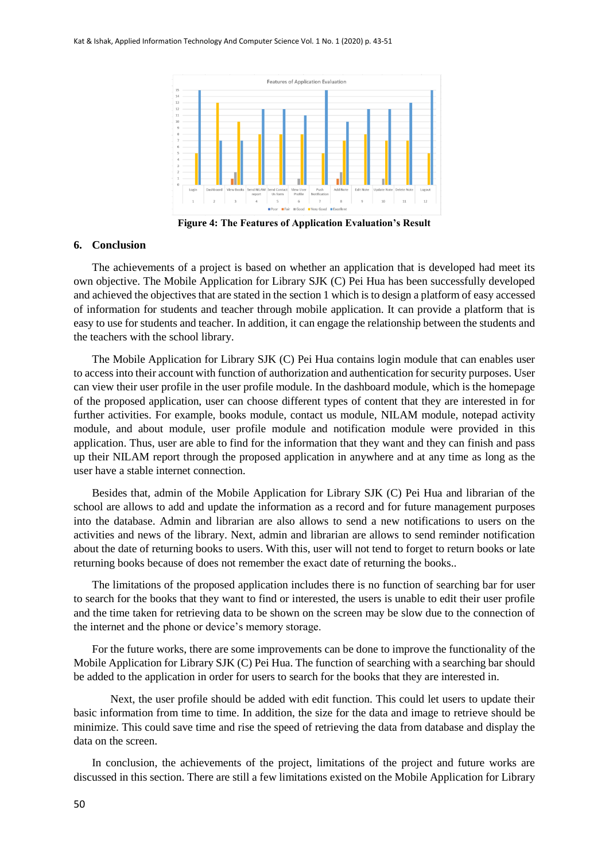

**Figure 4: The Features of Application Evaluation's Result**

#### **6. Conclusion**

The achievements of a project is based on whether an application that is developed had meet its own objective. The Mobile Application for Library SJK (C) Pei Hua has been successfully developed and achieved the objectives that are stated in the section 1 which is to design a platform of easy accessed of information for students and teacher through mobile application. It can provide a platform that is easy to use for students and teacher. In addition, it can engage the relationship between the students and the teachers with the school library.

The Mobile Application for Library SJK (C) Pei Hua contains login module that can enables user to access into their account with function of authorization and authentication for security purposes. User can view their user profile in the user profile module. In the dashboard module, which is the homepage of the proposed application, user can choose different types of content that they are interested in for further activities. For example, books module, contact us module, NILAM module, notepad activity module, and about module, user profile module and notification module were provided in this application. Thus, user are able to find for the information that they want and they can finish and pass up their NILAM report through the proposed application in anywhere and at any time as long as the user have a stable internet connection.

Besides that, admin of the Mobile Application for Library SJK (C) Pei Hua and librarian of the school are allows to add and update the information as a record and for future management purposes into the database. Admin and librarian are also allows to send a new notifications to users on the activities and news of the library. Next, admin and librarian are allows to send reminder notification about the date of returning books to users. With this, user will not tend to forget to return books or late returning books because of does not remember the exact date of returning the books..

The limitations of the proposed application includes there is no function of searching bar for user to search for the books that they want to find or interested, the users is unable to edit their user profile and the time taken for retrieving data to be shown on the screen may be slow due to the connection of the internet and the phone or device's memory storage.

For the future works, there are some improvements can be done to improve the functionality of the Mobile Application for Library SJK (C) Pei Hua. The function of searching with a searching bar should be added to the application in order for users to search for the books that they are interested in.

Next, the user profile should be added with edit function. This could let users to update their basic information from time to time. In addition, the size for the data and image to retrieve should be minimize. This could save time and rise the speed of retrieving the data from database and display the data on the screen.

In conclusion, the achievements of the project, limitations of the project and future works are discussed in this section. There are still a few limitations existed on the Mobile Application for Library